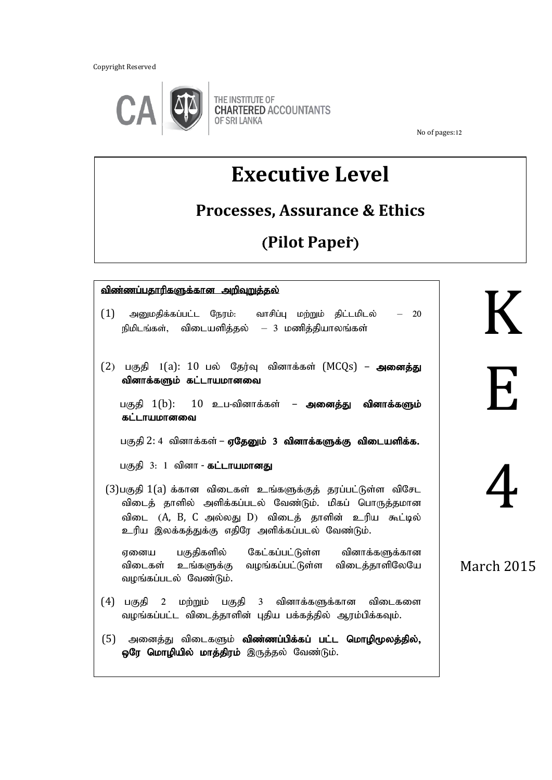Copyright Reserved



No of pages:12

# **Executive Level**

### **Processes, Assurance & Ethics**

## (**Pilot Paper**;)

| <u>விண்ணப்பதாரிகளுக்கான அறிவுறுத்தல்</u><br>(1)<br>அனுமதிக்கப்பட்ட நேரம்: வாசிப்பு மற்றும் திட்டமிடல் – 20<br>நிமிடங்கள், விடையளித்தல் — 3 மணித்தியாலங்கள்                                                                     |                           |
|--------------------------------------------------------------------------------------------------------------------------------------------------------------------------------------------------------------------------------|---------------------------|
| (2) பகுதி 1(a): 10 பல் தேர்வு வினாக்கள் (MCQs) – அனைத்து<br>வினாக்களும் கட்டாயமானவை<br>பகுதி $1(b)$ : $10$ உப-வினாக்கள் – <b>அனைத்து வினாக்களும்</b>                                                                           | $\boldsymbol{\mathsf{H}}$ |
| கட்டாயமானவை<br>பகுதி 2: 4 வினாக்கள் – ஏதேனும் 3 வினாக்களுக்கு விடையளிக்க.<br>பகுதி 3: 1 வினா <b>- கட்டாயமானது</b>                                                                                                              |                           |
| (3)பகுதி 1(a) க்கான விடைகள் உங்களுக்குத் தரப்பட்டுள்ள விசேட<br>விடைத் தாளில் அளிக்கப்படல் வேண்டும். மிகப் பொருத்தமான<br>விடை (A, B, C அல்லது D) விடைத் தாளின் உரிய கூட்டில்<br>உரிய இலக்கத்துக்கு எதிரே அளிக்கப்படல் வேண்டும். |                           |
| ஏனைய பகுதிகளில் கேட்கப்பட்டுள்ள வினாக்களுக்கான<br>விடைகள் உங்களுக்கு வழங்கப்பட்டுள்ள விடைத்தாளிலேயே<br>வழங்கப்படல் வேண்டும்.                                                                                                   | <b>March 2015</b>         |
| (4) பகுதி 2 மற்றும் பகுதி 3 வினாக்களுக்கான விடைகளை<br>வழங்கப்பட்ட விடைத்தாளின் புதிய பக்கத்தில் ஆரம்பிக்கவும்.                                                                                                                 |                           |
| அனைத்து விடைகளும் <b>விண்ணப்பிக்கப் பட்ட மொழிமூலத்தில்,</b><br>(5)<br><b>ஒரே மொழியில் மாத்திரம்</b> இருத்தல் வேண்டும்.                                                                                                         |                           |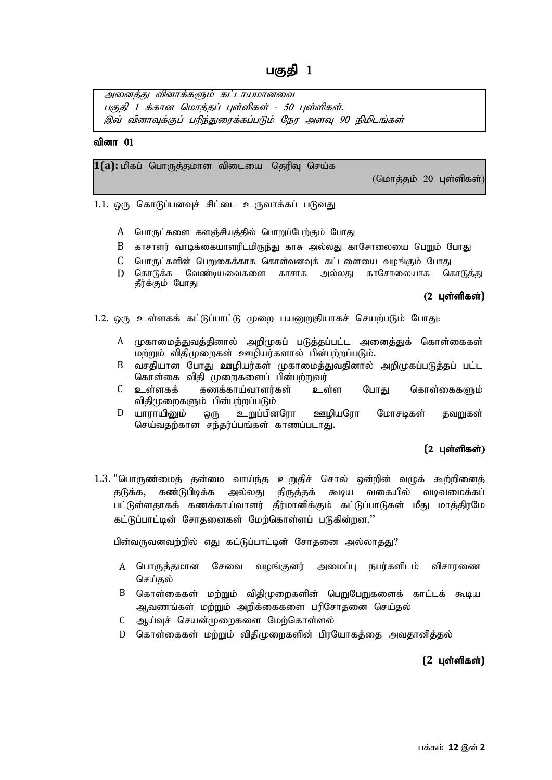அனைத்து வினாக்களும் கட்டாயமானவை பகுதி 1 க்கான மொத்தப் பள்ளிகள் - 50 பள்ளிகள். இவ் வினாவுக்குப் பரிந்துரைக்கப்படும் நேர அளவு 90 நிமிடங்கள்

#### வினா $01$

۹

1(a): மிகப் பொருத்தமான விடையை தெரிவு செய்க

 $($ மொக்கம் 20 புள்ளிகள் $)$ 

 $1.1.$  ஒரு கொடுப்பனவுச் சிட்டை உருவாக்கப் படுவது

- A பொருட்களை களஞ்சியத்தில் பொறுப்பேற்கும் போது
- $\;{\bf B}\;$  காசாளர் வாடிக்கையாளரிடமிருந்து காசு அல்லது காசோலையை பெறும் போது
- $C$  பொருட்களின் பெறுகைக்காக கொள்வனவுக் கட்டளையை வழங்கும் போது
- D கொடுக்க வேண்டியவைகளை காசாக அல்லது காசோலையாக கொடுத்து தீர்க்கும் போது

#### (2 புள்ளிகள்)

- 1.2. ஒரு உள்ளகக் கட்டுப்பாட்டு முறை பயனுறுதியாகச் செயற்படும் போது:
	- A முகாமைத்துவத்தினால் அறிமுகப் படுத்தப்பட்ட அனைத்துக் கொள்கைகள் மற்றும் விதிமுறைகள் ஊழியர்களால் பின்பற்றப்படும்.
	- B வசதியான போது ஊழியர்கள் முகாமைத்துவதினால் அறிமுகப்படுத்தப் பட்ட கொள்கை விதி முறைகளைப் பின்பற்றுவர்
	- $C$  உள்ளகக் கணக்காய்வாளர்கள் உள்ள போது கொள்கைகளும் விதிமுறைகளும் பின்பற்றப்படும்
	- $D$  யாராயினும் ஒரு உறுப்பினரோ ஊழியரோ மோசடிகள் கவறுகள் செய்வதற்கான சந்தர்ப்பங்கள் காணப்படாது.

#### (2 புள்ளிகள்)

 $1.3$ . "பொருண்மைத் தன்மை வாய்ந்த உறுதிச் சொல் ஒன்றின் வழுக் கூற்றினைத் தடுக்க, கண்டுபிடிக்க அல்லது திருத்தக் கூடிய வகையில் வடிவமைக்கப் பட்டுள்ளதாகக் கணக்காய்வாளர் தீர்மானிக்கும் கட்டுப்பாடுகள் மீது மாத்திரமே கட்டுப்பாட்டின் சோதனைகள் மேற்கொள்ளப் படுகின்றன."

பின்வருவனவற்றில் எது கட்டுப்பாட்டின் சோதனை அல்லாதது?

- A பொருத்தமான சேவை வழங்குனர் அமைப்பு நபர்களிடம் விசாரணை செய்தல்
- $B$  கொள்கைகள் மற்றும் விதிமுறைகளின் பெறுபேறுகளைக் காட்டக் கூடிய ஆவணங்கள் மற்றும் அறிக்கைகளை பரிசோதனை செய்தல்
- C ஆய்வுச் செயன்முறைகளை மேற்கொள்ளல்
- $D$  தொள்கைகள் மற்றும் விகிமுறைகளின் பிரயோகக்கை அவகானிக்கல்

#### **(2 புள்ளிகள்)**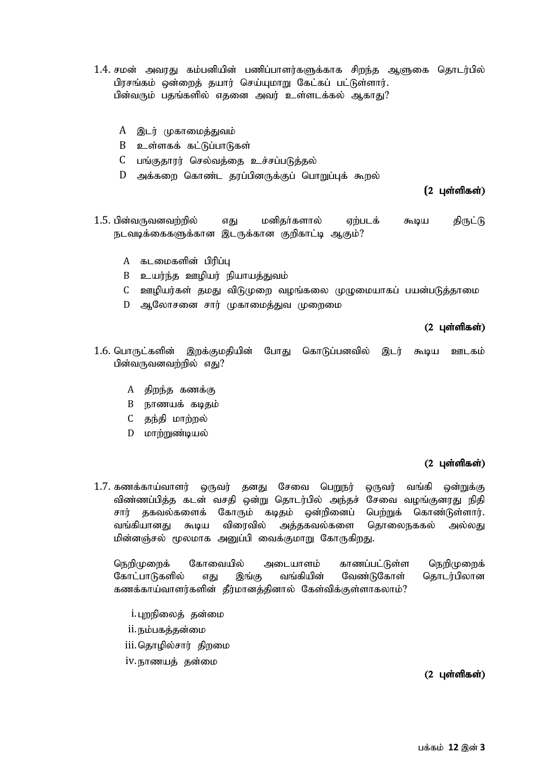- 1.4. சமன் அவாகு கம்பனியின் பணிப்பாளர்களுக்காக சிறந்த ஆளுகை கொடர்பில் பிரசங்கம் ஒன்றைத் தயார் செய்யுமாறு கேட்கப் பட்டுள்ளார். பின்வரும் பதங்களில் எதனை அவர் உள்ளடக்கல் ஆகாது?
	- A இடர் முகாமைத்துவம்
	- $B$  உள்ளகக் கட்டுப்பாடுகள்
	- C பங்குகாார் செல்வக்கை உச்சப்படுக்கல்
	- D அக்கறை கொண்ட தரப்பினருக்குப் பொறுப்புக் கூறல்

(2 பள்ளிகள்)

- $1.5$ . பின்வருவனவற்றில் எது மனிகர்களால் எற்படக் கூடிய கிருட்டு நடவடிக்கைகளுக்கான இடருக்கான குறிகாட்டி ஆகும்?
	- A கடமைகளின் பிரிப்ப
	- $B$  உயர்ந்த ஊழியர் நியாயத்துவம்
	- C ஊழியர்கள் தமது விடுமுறை வழங்கலை முழுமையாகப் பயன்படுத்தாமை
	- D ஆலோசனை சார் முகாமைத்துவ முறைமை

#### $(2 \text{ L} \text{or} \text{m} \text{m} \text{cm})$

- 1.6. பொருட்களின் இறக்குமதியின் போது கொடுப்பனவில் இடர் கூடிய ஊடகம் பின்வருவனவற்றில் எகு $\mathbf{r}$ ?
	- $A$  திறந்த கணக்கு
	- B நாணயக் கடிதம்
	- C தந்தி மாற்றல்
	- D மாற்றுண்டியல்

#### $(2 \text{ L} \text{or} \text{m} \text{m} \text{cm})$

1.7. கணக்காய்வாளர் ஒருவர் தனது சேவை பெறுநர் ஒருவர் வங்கி ஒன்றுக்கு விண்ணப்பித்த கடன் வசதி ஒன்று தொடர்பில் அந்தச் சேவை வழங்குனரது நிதி சார் தகவல்களைக் கோரும் கடிதம் ஒன்றினைப் பெற்றுக் கொண்டுள்ளார். வங்கியானது கூடிய விரைவில் அக்ககவல்களை கொலைநககல் அல்லது மின்னஞ்சல் மூலமாக அனுப்பி வைக்குமாறு கோருகிறது.

நெறிமுறைக் கோவையில் அடையாளம் காணப்பட்டுள்ள நெறிமுறைக் கோட்பாடுகளில் எது இங்கு வங்கியின் வேண்டுகோள் தொடர்பிலான கணக்காய்வாளர்களின் தீர்மானத்தினால் கேள்விக்குள்ளாகலாம்?

- i. புறநிலைத் தன்மை
- ii. நம்பகத்தன்மை
- iii.தொமில்சார் கிறமை
- iv. நாணயத் தன்மை

#### $(2 \text{ L} \text{sim} \text{m} \text{s} \text{sim})$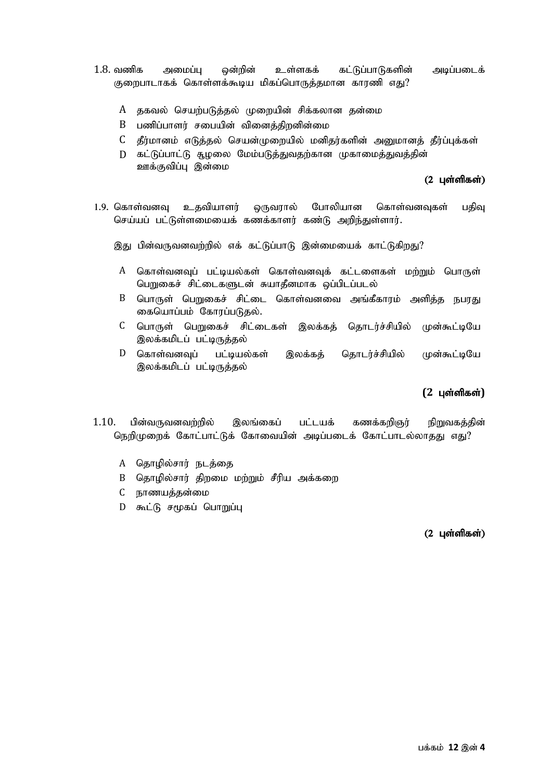- $1.8$ . வணிக அமைப்ப ஒன்றின் உள்ளகக் கட்டுப்பாடுகளின் அடிப்படைக் குறைபாடாகக் கொள்ளக்கூடிய மிகப்பொருத்தமான காரணி எது?
	- A தகவல் செயற்படுத்தல் முறையின் சிக்கலான தன்மை
	- $B$  பணிப்பாளர் சபையின் வினைத்திறனின்மை
	- $C$  தீர்மானம் எடுத்தல் செயன்முறையில் மனிதர்களின் அனுமானத் தீர்ப்புக்கள்
	- D கட்டுப்பாட்டு சூழலை மேம்படுத்துவதற்கான முகாமைத்துவத்தின் ஊக்குவிப்பு இன்மை

#### $(2 \text{ L} \text{or} \text{m} \text{m} \text{cm})$

1.9. கொள்வனவு உதவியாளர் ஒருவரால் போலியான கொள்வனவுகள் பதிவு செய்யப் பட்டுள்ளமையைக் கணக்காளர் கண்டு அறிந்துள்ளார்.

இது பின்வருவனவற்றில் எக் கட்டுப்பாடு இன்மையைக் காட்டுகிறது?

- A கொள்வனவுப் பட்டியல்கள் கொள்வனவுக் கட்டளைகள் மற்றும் பொருள் பெறுகைச் சிட்டைகளுடன் சுயாதீனமாக ஒப்பிடப்படல்
- B பொருள் பெறுகைச் சிட்டை கொள்வனவை அங்கீகாரம் அளித்த நபரது கையொப்பம் கோரப்படுதல்.
- C பொருள் பெறுகைச் சிட்டைகள் இலக்கத் தொடர்ச்சியில் முன்கூட்டியே இலக்கமிடப் பட்டிருத்தல்
- $D$  கொள்வனவப் பட்டியல்கள் இலக்கக் கொடர்ச்சியில் முன்கூட்டியே இலக்கமிடப் பட்டிருத்தல்

#### **(2 பள்ளிகள்)**

- $1.10$ . பின்வருவனவற்றில் இலங்கைப் பட்டயக் கணக்கறிஞர் நிறுவகத்தின் நெறிமுறைக் கோட்பாட்டுக் கோவையின் அடிப்படைக் கோட்பாடல்லாதது எது?
	- A தொழில்சார் நடத்தை
	- B தொழில்சார் திறமை மற்றும் சீரிய அக்கறை
	- C நாணயத்தன்மை
	- D கூட்டு சமூகப் பொறுப்பு

#### $(2 \text{ L} \text{or} \text{in} \text{m} \text{as} \text{in})$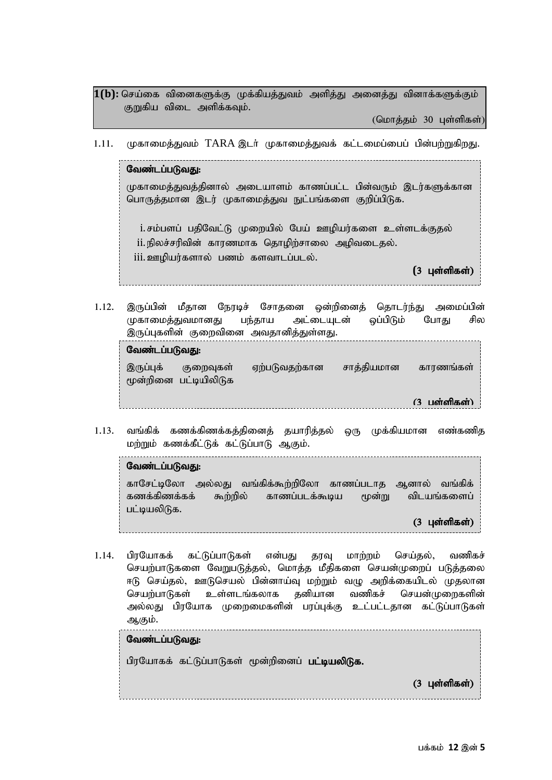$\ket{1(\text{b})}$ : செய்கை வினைகளுக்கு முக்கியத்துவம் அளித்து அனைத்து வினாக்களுக்கும் குறுகிய விடை அளிக்கவும்.

 $(GID$ மாத்தம் 30 புள்ளிகள்)

1.11. முகாமைத்துவம் TARA இடர் முகாமைத்துவக் கட்டமைப்பைப் பின்பற்றுகிறது.

வேண்டப்படுவகு: முகாமைத்துவத்தினால் அடையாளம் காணப்பட்ட பின்வரும் இடர்களுக்கான பொருத்தமான இடர் முகாமைத்துவ நுட்பங்களை குறிப்பிடுக.

i. சம்பளப் பதிவேட்டு முறையில் பேய் ஊழியர்களை உள்ளடக்குதல் ii. நிலச்சரிவின் காரணமாக தொழிற்சாலை அழிவடைதல். iii. ஊழியர்களால் பணம் களவாடப்படல்.

(3 புள்ளிகள்)

1.12. இருப்பின் மீதான நேரடிச் சோதனை ஒன்றினைத் தொடர்ந்து அமைப்பின் முகாமைத்துவமானது பந்தாய அட்டையுடன் ஒப்பிடும் போது சில இருப்புகளின் குறைவினை அவதானித்துள்ளது.

| வேண்டப்படுவது: |           |                                    |               |            |           |
|----------------|-----------|------------------------------------|---------------|------------|-----------|
|                | இருப்புக் | குறைவுகள்<br>மூன்றினை பட்டியிலிடுக | ஏற்படுவதற்கான | சாத்தியமான | காரணங்கள் |
|                |           |                                    |               |            | பள்ளிகள்) |

 $1.13.$  வங்கிக் கணக்கிணக்கத்தினைத் தயாரித்தல் ஒரு முக்கியமான எண்கணித மற்றும் கணக்கீட்டுக் கட்டுப்பாடு ஆகும்.

வேண்டப்படுவது: காசேட்டிலோ அல்லது வங்கிக்கூற்றிலோ காணப்படாத ஆனால் வங்கிக் கணக்கிணக்கக் கூற்றில் காணப்படக்கூடிய மூன்று விடயங்களைப் பட்டியலிடுக.  $(3 \;$ புள்ளிகள் $)$ 

1.14. பிரயோகக் கட்டுப்பாடுகள் என்பது தரவு மாற்றம் செய்தல், வணிகச் செயற்பாடுகளை வேறுபடுத்தல், மொத்த மீதிகளை செயன்முறைப் படுத்தலை <L nra;jy;> CLnray; gpd ;dha;T kw ;Wk; tO mwpf ;ifaply; Kjyhd (3 Gs;spfs ;) செயற்பாடுகள் உள்ளடங்கலாக தனியான வணிகச் செயன்முறைகளின் அல்லது பிரயோக முறைமைகளின் பரப்புக்கு உட்பட்டதான கட்டுப்பாடுகள் ஆகும்.

| வேண்டப்படுவது:                                         |  |  |  |                                                                                                                                                                                                                                                                                                                                                                                                                                                                                        |
|--------------------------------------------------------|--|--|--|----------------------------------------------------------------------------------------------------------------------------------------------------------------------------------------------------------------------------------------------------------------------------------------------------------------------------------------------------------------------------------------------------------------------------------------------------------------------------------------|
| பிரயோகக் கட்டுப்பாடுகள் மூன்றினைப் <b>பட்டியலிடுக.</b> |  |  |  |                                                                                                                                                                                                                                                                                                                                                                                                                                                                                        |
|                                                        |  |  |  | $(3 \text{ L} \cdot \text{L} \cdot \text{L} \cdot \text{L} \cdot \text{L} \cdot \text{L} \cdot \text{L} \cdot \text{L} \cdot \text{L} \cdot \text{L} \cdot \text{L} \cdot \text{L} \cdot \text{L} \cdot \text{L} \cdot \text{L} \cdot \text{L} \cdot \text{L} \cdot \text{L} \cdot \text{L} \cdot \text{L} \cdot \text{L} \cdot \text{L} \cdot \text{L} \cdot \text{L} \cdot \text{L} \cdot \text{L} \cdot \text{L} \cdot \text{L} \cdot \text{L} \cdot \text{L} \cdot \text{L} \cdot$ |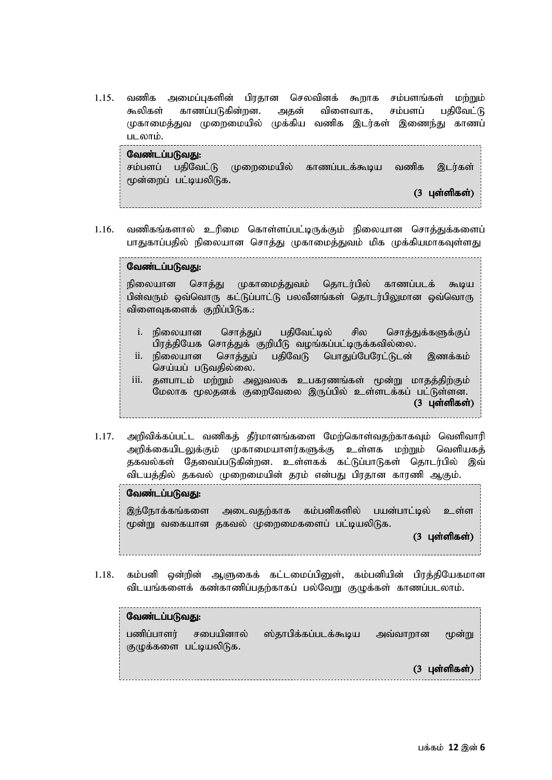$1.15.$  வணிக அமைப்புகளின் பிரதான செலவினக் கூறாக சம்பளங்கள் மற்றும் கூலிகள் காணப்படுகின்றன. அகன் விளைவாக, சம்பளப் பகிவேட்டு முகாமைத்துவ முறைமையில் முக்கிய வணிக இடர்கள் இணைந்து காணப் படலாம்.

| வேண்டப்படுவது: |                       |  |                                                          |  |                  |  |
|----------------|-----------------------|--|----------------------------------------------------------|--|------------------|--|
|                |                       |  | சம்பளப் பதிவேட்டு முறைமையில் காணப்படக்கூடிய வணிக இடர்கள் |  |                  |  |
|                | மூன்றைப் பட்டியலிடுக. |  |                                                          |  |                  |  |
|                |                       |  |                                                          |  | $(3)$ புள்ளிகள்) |  |

1.16. வணிகங்களால் உரிமை கொள்ளப்பட்டிருக்கும் நிலையான சொத்துக்களைப் பாதுகாப்பதில் நிலையான சொத்து முகாமைத்துவம் மிக முக்கியமாகவுள்ளது

#### வேண்டப்படுவது:

நிலையான சொத்து முகாமைத்துவம் தொடர்பில் காணப்படக் கூடிய பின்வரும் ஒவ்வொரு கட்டுப்பாட்டு பலவீனங்கள் தொடர்பிலுமான ஒவ்வொரு விளைவுகளைக் குறிப்பிடுக.:

- i. நிலையான சொக்குப் பகிவேட்டில் சில சொக்குக்களுக்குப் பிரத்தியேக சொத்துக் குறியீடு வழங்கப்பட்டிருக்கவில்லை.
- ii. நிலையான சொத்துப் பதிவேடு பொதுப்பேரேட்டுடன் இணக்கம் செய்யப் படுவதில்லை.
- iii. தளபாடம் மற்றும் அலுவலக உபகரணங்கள் மூன்று மாதத்திற்கும் .<br>மேலாக மூலதனக் குறைவேலை இருப்பில் உள்ளடக்கப் பட்டுள்ளன.  $(3 \text{ L} \text{or} \text{in} \text{m} \text{as} \text{in})$
- $1.17.$  அறிவிக்கப்பட்ட வணிகத் தீர்மானங்களை மேற்கொள்வதற்காகவும் வெளிவாரி அறிக்கையிடலுக்கும் முகாமையாளர்களுக்கு உள்ளக மற்றும் வெளியகத் தகவல்கள் தேவைப்படுகின்றன. உள்ளகக் கட்டுப்பாடுகள் தொடர்பில் இவ் விடயத்தில் தகவல் முறைமையின் தரம் என்பது பிரதான காரணி ஆகும்.

#### வேண்டப்படுவது:

இந்நோக்கங்களை அடைவதற்காக கம்பனிகளில் பயன்பாட்டில் உள்ள மூன்று வகையான தகவல் முறைமைகளைப் பட்டியலிடுக.

 $(3 \text{ L} \text{sim} \text{m} \text{cm})$ 

 $1.18$ . கம்பனி ஒன்றின் ஆளுகைக் கட்டமைப்பிளை. கம்பனியின் பிாக்கியேகமான விடயங்களைக் கண்காணிப்பதற்காகப் பல்வேறு குழுக்கள் காணப்படலாம்.

| வேண்டப்படுவது: |                                     |                      |          |                                              |  |  |
|----------------|-------------------------------------|----------------------|----------|----------------------------------------------|--|--|
| பணிப்பாளர்     | சபையினால்<br>குழுக்களை பட்டியலிடுக. | ஸ்தாபிக்கப்படக்கூடிய | அவ்வாறான | மூன்று                                       |  |  |
|                |                                     |                      |          | $(3 \text{ L} \text{or} \text{m} \text{cm})$ |  |  |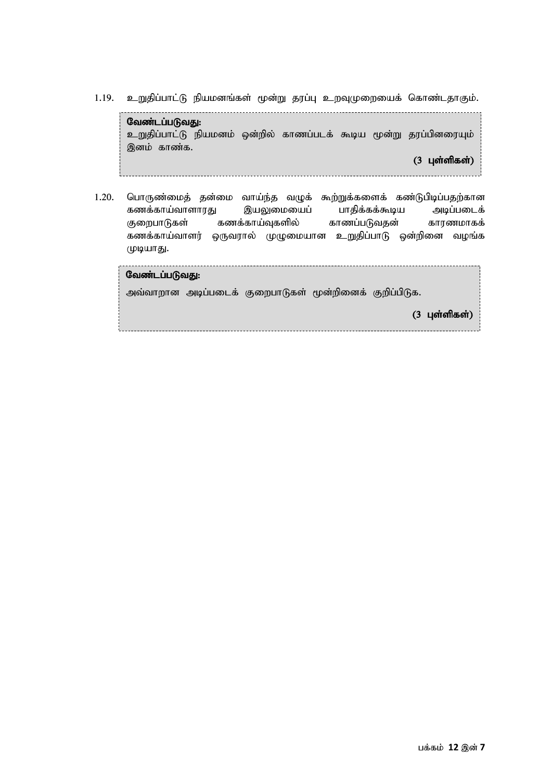1.19. உறுதிப்பாட்டு நியமனங்கள் மூன்று தரப்பு உறவுமுறையைக் கொண்டதாகும்.

வேண்டப்படுவது: உறுதிப்பாட்டு நியமனம் ஒன்றில் காணப்படக் கூடிய மூன்று தரப்பினரையும் இனம் காண்க.  $(3 \text{ L} \text{sim} \text{m} \text{s} \text{sim})$ 

1.20. பொருண்மைத் தன்மை வாய்ந்த வழுக் கூற்றுக்களைக் கண்டுபிடிப்பதற்கான கணக்காய்வாளாரது இயலுமையைப் பாதிக்கக்கூடிய அடிப்படைக் குறைபாடுகள் கணக்காய்வுகளில் காணப்படுவதன் காரணமாகக் கணக்காய்வாளர் ஒருவரால் முழுமையான உறுதிப்பாடு ஒன்றினை வழங்க முடியாது.

| வேண்டப்படுவது: |  |                                                         |  |  |                         |
|----------------|--|---------------------------------------------------------|--|--|-------------------------|
|                |  | அவ்வாறான அடிப்படைக் குறைபாடுகள் மூன்றினைக் குறிப்பிடுக. |  |  |                         |
|                |  |                                                         |  |  | $(3 \text{ L}$ ள்ளிகள்) |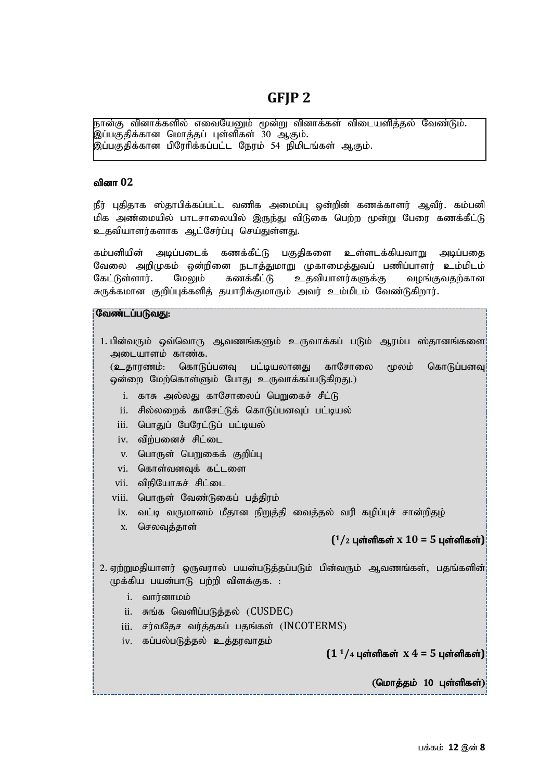### **GFJP 2**

நான்கு வினாக்களில் எவையேனும் மூன்று வினாக்கள் விடையளித்தல் வேண்டும். இப்பகுதிக்கான மொத்தப் புள்ளிகள் 30 ஆகும். இப்பகுதிக்கான பிரேரிக்கப்பட்ட நேரம் 54 நிமிடங்கள் ஆகும்.

#### வினா 02

நீர் புதிதாக ஸ்தாபிக்கப்பட்ட வணிக அமைப்பு ஒன்றின் கணக்காளர் ஆவீர். கம்பனி மிக அண்மையில் பாடசாலையில் இருந்து விடுகை பெற்ற மூன்று பேரை கணக்கீட்டு உதவியாளர்களாக ஆட்சேர்ப்பு செய்துள்ளது.

கம்பனியின் அடிப்படைக் கணக்கீட்டு பகுதிகளை உள்ளடக்கியவாறு அடிப்பதை வேலை அறிமுகம் ஒன்றினை நடாத்துமாறு முகாமைத்துவப் பணிப்பாளர் உம்மிடம் கேட்டுள்ளார். மேலும் கணக்கீட்டு உதவியாளர்களுக்கு வழங்குவதற்கான சுருக்கமான குறிப்புக்களித் தயாரிக்குமாரும் அவர் உம்மிடம் வேண்டுகிறார்.

#### Ntz;lg;gLtJ:

1. பின்வரும் ஒவ்வொரு ஆவணங்களும் உருவாக்கப் படும் ஆரம்ப ஸ்தானங்களை அடையாளம் காண்க.

(உதாாணம்: கொடுப்பனவ பட்டியலானது காசோலை மூலம் கொடுப்பனவு ஒன்றை மேற்கொள்ளும் போது உருவாக்கப்படுகிறது.)

- <u>i. காசு அல்லது காசோலைப் பெறுகைச் சீட்டு</u>
- ii. சில்லறைக் காசேட்டுக் கொடுப்பனவுப் பட்டியல்
- iii. பொதுப் பேரேட்டுப் பட்டியல்
- iv. விற்பனைச் சிட்டை
- $v$ . பொருள் பெறுகைக் குறிப்பு
- vi. கொள்வனவுக் கட்டளை
- vii. விநியோகச் சிட்டை
- viii. பொருள் வேண்டுகைப் பத்திரம்
- ix. வட்டி வருமானம் மீதான நிறுத்தி வைத்தல் வரி கழிப்புச் சான்றிதழ்
- x. செலவுத்தாள்

#### **( <sup>1</sup>/<sup>2</sup>** Gs;spfs; **x 10 = 5** Gs ;spfs ;**)**

2. ஏற்றுமதியாளர் ஒருவரால் பயன்படுத்தப்படும் பின்வரும் ஆவணங்கள், பதங்களின்!  $(\psi$ க்கிய பயன்பாடு பற்றி விளக்குக. :

- i. வார்னாமம்
- $i$ ii. சுங்க வெளிப்படுத்தல் (CUSDEC)
- $iii.$  சர்வகேச வர்க்ககப் பகங்கள்  $(INCOTERMS)$
- iv. கப்பல்படுத்தல் உத்தரவாதம்

 $(1<sup>1</sup>/4)$  புள்ளிகள்  $x$  4 = 5 புள்ளிகள்

 $(G$ மாத்தம்  $10$  புள்ளிகள்)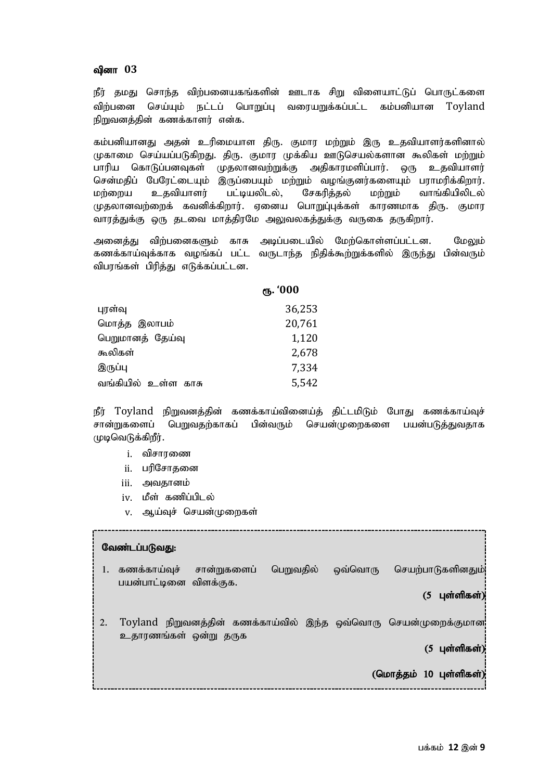#### வினா 03

நீர் தமது சொந்த விற்பனையகங்களின் ஊடாக சிறு விளையாட்டுப் பொருட்களை விற்பனை செய்யும் நட்டப் பொறுப்பு வரையறுக்கப்பட்ட கம்பனியான Toyland நிறுவனக்கின் கணக்காளர் என்க.

கம்பனியானது அதன் உரிமையாள திரு. குமார மற்றும் இரு உதவியாளர்களினால் முகாமை செய்யப்படுகிறது. திரு. குமார முக்கிய ஊடுசெயல்களான கூலிகள் மற்றும் பாரிய கொடுப்பனவுகள் முதலானவற்றுக்கு அதிகாரமளிப்பார். ஒரு உதவியாளர் சென்மதிப் பேரேட்டையும் இருப்பையும் மற்றும் வழங்குனர்களையும் பராமரிக்கிறார். மற்றைய உதவியாளர் பட்டியலிடல், சேகரித்தல் மற்றும் வாங்கியிலிடல் முதலானவற்றைக் கவனிக்கிறார். ஏனைய பொறுப்புக்கள் காரணமாக திரு. குமார வாரத்துக்கு ஒரு தடவை மாத்திரமே அலுவலகத்துக்கு வருகை தருகிறார்.

அனைக்கு விற்பனைகளும் காசு அடிப்படையில் மேற்கொள்ளப்பட்டன. மேலும் கணக்காய்வுக்காக வழங்கப் பட்ட வருடாந்த நிதிக்கூற்றுக்களில் இருந்து பின்வரும் விபரங்கள் பிரித்து எடுக்கப்பட்டன.

|                        | ரூ. '000 |
|------------------------|----------|
| புரள்வு                | 36,253   |
| மொத்த இலாபம்           | 20,761   |
| பெறுமானத் தேய்வு       | 1,120    |
| கூலிகள்                | 2,678    |
| இருப்பு                | 7,334    |
| வங்கியில் உள்ள<br>காசு | 5,542    |

நீர் Toyland நிறுவனத்தின் கணக்காய்வினைய்த் திட்டமிடும் போது கணக்காய்வுச் சான்றுகளைப் பெறுவதற்காகப் பின்வரும் செயன்முறைகளை பயன்படுத்துவதாக (முடிவெடுக்கிறீர்.

- i. விசாரணை
- ii. பரிசோதனை
- iii. அவதானம்
- iv. மீள் கணிப்பிடல்
- v. ஆய்வுச் செயன்முறைகள்

|    | வேண்டப்படுவது:                                                                                                                                                                                                                                                                                                                                                                                                                                                                         |
|----|----------------------------------------------------------------------------------------------------------------------------------------------------------------------------------------------------------------------------------------------------------------------------------------------------------------------------------------------------------------------------------------------------------------------------------------------------------------------------------------|
| 1. | பெறுவதில்<br>செயற்பாடுகளினதும்!<br>ஒவ்வொரு<br>கணக்காய்வுச்<br>சான்றுகளைப்<br>பயன்பாட்டினை விளக்குக.                                                                                                                                                                                                                                                                                                                                                                                    |
|    | $(5 \quad 1)$ ள்ளிகள்)                                                                                                                                                                                                                                                                                                                                                                                                                                                                 |
| 2. | Toyland நிறுவனத்தின் கணக்காய்வில் இந்த ஒவ்வொரு செயன்முறைக்குமான!<br>உதாரணங்கள் ஒன்று தருக                                                                                                                                                                                                                                                                                                                                                                                              |
|    | $(5 \text{ L} \cdot \text{L} \cdot \text{L} \cdot \text{L} \cdot \text{L} \cdot \text{L} \cdot \text{L} \cdot \text{L} \cdot \text{L} \cdot \text{L} \cdot \text{L} \cdot \text{L} \cdot \text{L} \cdot \text{L} \cdot \text{L} \cdot \text{L} \cdot \text{L} \cdot \text{L} \cdot \text{L} \cdot \text{L} \cdot \text{L} \cdot \text{L} \cdot \text{L} \cdot \text{L} \cdot \text{L} \cdot \text{L} \cdot \text{L} \cdot \text{L} \cdot \text{L} \cdot \text{L} \cdot \text{L} \cdot$ |
|    | (மொத்தம் 10 புள்ளிகள்)                                                                                                                                                                                                                                                                                                                                                                                                                                                                 |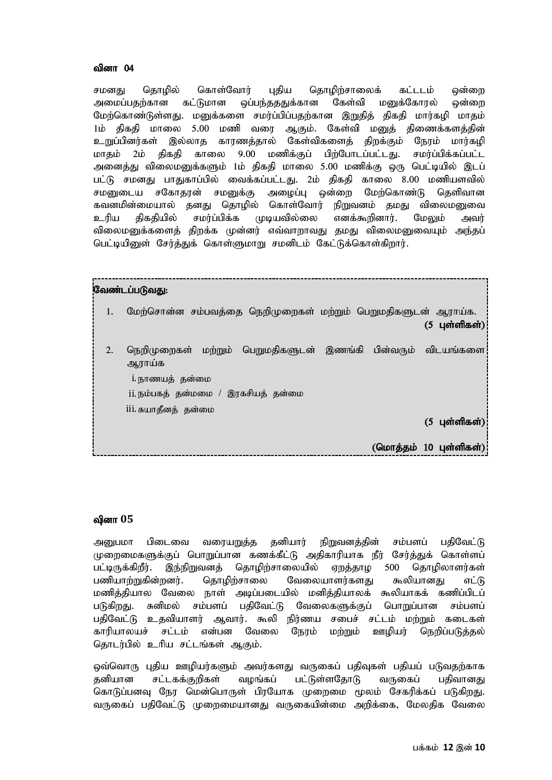#### வினா  $04$

சமனகு கொமில் கொள்வோர் பகிய கொமிற்சாலைக் கட்டடம் ஒன்றை அமைப்பதற்கான கட்டுமான ஒப்பந்தததுக்கான கேள்வி மனுக்கோரல் ஒன்றை மேற்கொண்டுள்ளது. மனுக்களை சமர்ப்பிப்பதற்கான இறுதித் திகதி மார்கழி மாதம் 1ம் திகதி மாலை 5.00 மணி வரை ஆகும். கேள்வி மனுத் திணைக்களத்தின் உறுப்பினர்கள் இல்லாத காரணத்தால் கேள்விகளைத் திறக்கும் நேரம் மார்கழி மாதம் 2ம் திகதி காலை 9.00 மணிக்குப் பிற்போடப்பட்டது. சமர்ப்பிக்கப்பட்ட அனைத்து விலைமனுக்களும் 1ம் திகதி மாலை 5.00 மணிக்கு ஒரு பெட்டியில் இடப் பட்டு சமனது பாதுகாப்பில் வைக்கப்பட்டது. 2ம் திகதி காலை 8.00 மணியளவில் சமனுடைய சகோதரன் சமனுக்கு அழைப்பு ஒன்றை மேற்கொண்டு தெளிவான கவனமின்மையால் கனகு கொமில் கொள்வோர் நிறுவனம் கமகு விலைமனுவை உரிய திகதியில் சமர்ப்பிக்க முடியவில்லை எனக்கூறினார். மேலும் அவர் விலைமனுக்களைக் கிறக்க முன்னர் எவ்வாறாவது கமது விலைமனுவையும் அந்தப் பெட்டியினுள் சேர்த்துக் கொள்ளுமாறு சமனிடம் கேட்டுக்கொள்கிறார்.

|    | வேண்டப்படுவது:                                                                                                                                                |                                                                                                                                                                                                                                                                                                                                                                                                                                                                                        |
|----|---------------------------------------------------------------------------------------------------------------------------------------------------------------|----------------------------------------------------------------------------------------------------------------------------------------------------------------------------------------------------------------------------------------------------------------------------------------------------------------------------------------------------------------------------------------------------------------------------------------------------------------------------------------|
| 1. | மேற்சொன்ன சம்பவத்தை நெறிமுறைகள் மற்றும் பெறுமதிகளுடன் ஆராய்க.                                                                                                 | $(5 \text{ L} \cdot \text{L} \cdot \text{L} \cdot \text{L} \cdot \text{L} \cdot \text{L} \cdot \text{L} \cdot \text{L} \cdot \text{L} \cdot \text{L} \cdot \text{L} \cdot \text{L} \cdot \text{L} \cdot \text{L} \cdot \text{L} \cdot \text{L} \cdot \text{L} \cdot \text{L} \cdot \text{L} \cdot \text{L} \cdot \text{L} \cdot \text{L} \cdot \text{L} \cdot \text{L} \cdot \text{L} \cdot \text{L} \cdot \text{L} \cdot \text{L} \cdot \text{L} \cdot \text{L} \cdot \text{L} \cdot$ |
| 2. | ் மற்றும் பெறுமதிகளுடன் இணங்கி பின்வரும் விடயங்களை <br>நெறிமுறைகள்<br>ஆராய்க<br>1. நாணயத் தன்மை<br>ii.நம்பகத் தன்மமை / இரகசியத் தன்மை<br>iii. சுயாதீனத் தன்மை |                                                                                                                                                                                                                                                                                                                                                                                                                                                                                        |
|    |                                                                                                                                                               | $(5 \text{ L} \text{or} \text{m} \text{m} \text{cm})$                                                                                                                                                                                                                                                                                                                                                                                                                                  |
|    |                                                                                                                                                               | (மொத்தம் 10 புள்ளிகள்)                                                                                                                                                                                                                                                                                                                                                                                                                                                                 |

#### வினா 05

அனுபமா பிடைவை வரையறுத்த தனியார் நிறுவனத்தின் சம்பளப் பதிவேட்டு முறைமைகளுக்குப் பொறுப்பான கணக்கீட்டு அதிகாரியாக நீர் சேர்த்துக் கொள்ளப் பட்டிருக்கிறீர். இந்நிறுவனத் தொழிற்சாலையில் ஏறத்தாழ 500 தொழிலாளர்கள் பணியாற்றுகின்றனர். தொழிற்சாலை வேலையாளர்களது கூலியானது எட்டு மணித்தியால வேலை நாள் அடிப்படையில் மனித்தியாலக் கூலியாகக் கணிப்பிடப் படுகிறது. சுனிமல் சம்பளப் பதிவேட்டு வேலைகளுக்குப் பொறுப்பான சம்பளப் பதிவேட்டு உதவியாளர் ஆவார். கூலி நிர்ணய சபைச் சட்டம் மற்றும் கடைகள் காரியாலயச் சட்டம் என்பன வேலை நேரம் மற்றும் ஊழியர் நெறிப்படுத்தல் கொடர்பில் உரிய சட்டங்கள் ஆகும்.

ஒவ்வொரு புதிய ஊழியர்களும் அவர்களது வருகைப் பதிவுகள் பதியப் படுவதற்காக கனியான சட்டகக்குறிகள் வமங்கப் பட்டுள்ளகோடு வருகைப் பகிவானது கொடுப்பனவு நேர மென்பொருள் பிரயோக முறைமை மூலம் சேகரிக்கப் படுகிறது. வருகைப் பதிவேட்டு முறைமையானது வருகையின்மை அறிக்கை, மேலதிக வேலை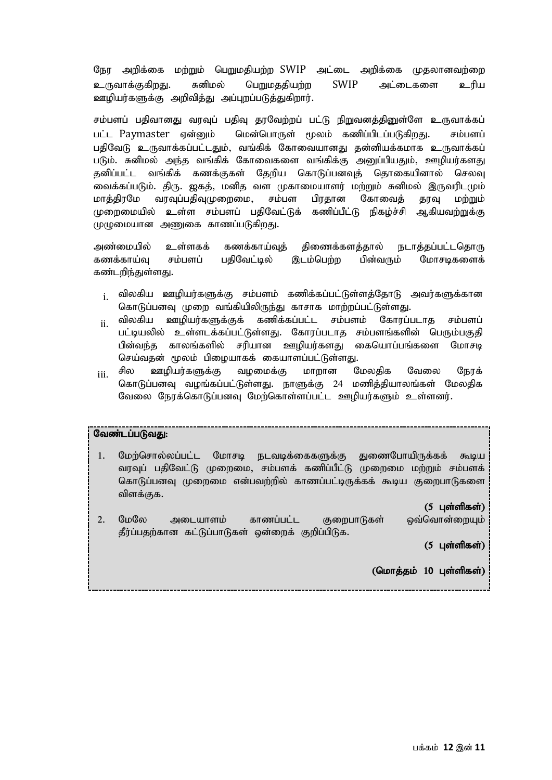நேர அறிக்கை மற்றும் பெறுமதியற்ற SWIP அட்டை அறிக்கை முதலானவற்றை உருவாக்குகிறது. சுனிமல் பெறுமததியற்ற SWIP அட்டைகளை உரிய ஊழியர்களுக்கு அறிவித்து அப்புறப்படுத்துகிறார்.

சம்பளப் பதிவானது வரவுப் பதிவு தரவேற்றப் பட்டு நிறுவனத்தினுள்ளே உருவாக்கப் பட்ட Paymaster ஏன்னும் மென்பொருள் மூலம் கணிப்பிடப்படுகிறது. சம்பளப் பதிவேடு உருவாக்கப்பட்டதும், வங்கிக் கோவையானது தன்னியக்கமாக உருவாக்கப் படும். சுனிமல் அந்த வங்கிக் கோவைகளை வங்கிக்கு அனுப்பியதும், ஊமியர்களது தனிப்பட்ட வங்கிக் கணக்குகள் தேறிய கொடுப்பனவுத் தொகையினால் செலவு வைக்கப்படும். திரு. ஜகத், மனித வள முகாமையாளர் மற்றும் சுனிமல் இருவரிடமும் மாக்கிரமே வரவப்பகிவமுறைமை, சம்பள பிரகான கோவைக் காவ மற்றும் முறைமையில் உள்ள சம்பளப் பதிவேட்டுக் கணிப்பீட்டு நிகழ்ச்சி ஆகியவற்றுக்கு முழுமையான அணுகை காணப்படுகிறது.

அண்மையில் உள்ளகக் கணக்காய்வுத் திணைக்களத்தால் நடாத்தப்பட்டதொரு கணக்காய்வு சம்பளப் பகிவேட்டில் இடம்பெற்ற பின்வரும் மோசடிகளைக் கண்டறிந்துள்ளது.

- <sub>i.</sub> விலகிய ஊழியர்களுக்கு சம்பளம் கணிக்கப்பட்டுள்ளத்தோடு அவர்களுக்கான கொடுப்பனவு முறை வங்கியிலிருந்து காசாக மாற்றப்பட்டுள்ளது.
- <sub>ii</sub> விலகிய ஊழியர்களுக்குக் கணிக்கப்பட்ட சம்பளம் கோரப்படாத சம்பளப் பட்டியலில் உள்ளடக்கப்பட்டுள்ளது. கோாப்படாக சம்பளங்களின் பெரும்பகுதி பின்வந்த காலங்களில் சரியான ஊமியர்களது கையொப்பங்களை மோசடி செய்வதன் மூலம் பிழையாகக் கையாளப்பட்டுள்ளது.
- <sub>iii.</sub> சில ஊழியர்களுக்கு வழமைக்கு மாறான மேலதிக வேலை நேரக் கொடுப்பனவு வழங்கப்பட்டுள்ளது. நாளுக்கு 24 மணித்தியாலங்கள் மேலதிக வேலை நேரக்கொடுப்பனவு மேற்கொள்ளப்பட்ட ஊழியர்களும் உள்ளனர்.

#### வேண்டப்படுவது:

- 1. மேற்சொல்லப்பட்ட மோசடி நடவடிக்கைகளுக்கு துணைபோயிருக்கக் கூடிய வரவுப் பதிவேட்டு முறைமை, சம்பளக் கணிப்பீட்டு முறைமை மற்றும் சம்பளக் கொடுப்பனவு முறைமை என்பவற்றில் காணப்பட்டிருக்கக் கூடிய குறைபாடுகளை விளக்குக.
	- $(5 \;$ பள்ளிகள் $)$
- 2. மேலே அடையாளம் காணப்பட்ட குறைபாடுகள் ஒவ்வொன்றையும் தீர்ப்பதற்கான கட்டுப்பாடுகள் ஒன்றைக் குறிப்பிடுக.

 $(5 \text{ L} \text{or} \text{m} \text{m} \text{or} \text{m})$ 

J.

 $($ மொத்தம்  $10$  புள்ளிகள் $)$